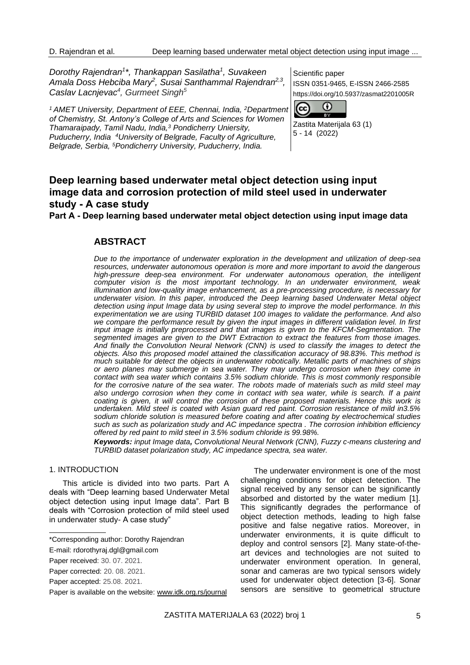*Dorothy Rajendran<sup>1</sup> \*, Thankappan Sasilatha<sup>1</sup> , Suvakeen Amala Doss Hebciba Mary<sup>2</sup> , Susai Santhammal Rajendran2,3 , Caslav Lacnjevac<sup>4</sup> , Gurmeet Singh<sup>5</sup>*

*<sup>1</sup>AMET University, Department of EEE, Chennai, India, <sup>2</sup>Department of Chemistry, St. Antony's College of Arts and Sciences for Women Thamaraipady, Tamil Nadu, India,<sup>3</sup> Pondicherry Uniersity, Puducherry, India <sup>4</sup>University of Belgrade, Faculty of Agriculture, Belgrade, Serbia, <sup>5</sup>Pondicherry University, Puducherry, India.*

Scientific paper ISSN 0351-9465, E-ISSN 2466-2585 https://doi.org/10.5937/zasmat2201005R



Zastita Materijala 63 (1) 5 - 14 (2022)

# **Deep learning based underwater metal object detection using input image data and corrosion protection of mild steel used in underwater study - A case study**

**Part A - Deep learning based underwater metal object detection using input image data**

# **ABSTRACT**

*Due to the importance of underwater exploration in the development and utilization of deep-sea resources, underwater autonomous operation is more and more important to avoid the dangerous high-pressure deep-sea environment. For underwater autonomous operation, the intelligent computer vision is the most important technology. In an underwater environment, weak illumination and low-quality image enhancement, as a pre-processing procedure, is necessary for underwater vision. In this paper, introduced the Deep learning based Underwater Metal object detection using input Image data by using several step to improve the model performance. In this experimentation we are using TURBID dataset 100 images to validate the performance. And also we compare the performance result by given the input images in different validation level. In first input image is initially preprocessed and that images is given to the KFCM-Segmentation. The segmented images are given to the DWT Extraction to extract the features from those images. And finally the Convolution Neural Network (CNN) is used to classify the images to detect the objects. Also this proposed model attained the classification accuracy of 98.83%. This method is much suitable for detect the objects in underwater robotically. Metallic parts of machines of ships or aero planes may submerge in sea water. They may undergo corrosion when they come in contact with sea water which contains 3.5% sodium chloride. This is most commonly responsible*  for the corrosive nature of the sea water. The robots made of materials such as mild steel may also undergo corrosion when they come in contact with sea water, while is search. If a paint *coating is given, it will control the corrosion of these proposed materials. Hence this work is undertaken. Mild steel is coated with Asian guard red paint. Corrosion resistance of mild in3.5% sodium chloride solution is measured before coating and after coating by electrochemical studies such as such as polarization study and AC impedance spectra . The corrosion inhibition efficiency offered by red paint to mild steel in 3.5% sodium chloride is 99.98%.*

*Keywords: input Image data, Convolutional Neural Network (CNN), Fuzzy c-means clustering and TURBID dataset polarization study, AC impedance spectra, sea water.*

# 1. INTRODUCTION

This article is divided into two parts. Part A deals with "Deep learning based Underwater Metal object detection using input Image data". Part B deals with "Corrosion protection of mild steel used in underwater study- A case study"

The underwater environment is one of the most challenging conditions for object detection. The signal received by any sensor can be significantly absorbed and distorted by the water medium [1]. This significantly degrades the performance of object detection methods, leading to high false positive and false negative ratios. Moreover, in underwater environments, it is quite difficult to deploy and control sensors [2]. Many state-of-theart devices and technologies are not suited to underwater environment operation. In general, sonar and cameras are two typical sensors widely used for underwater object detection [3-6]. Sonar sensors are sensitive to geometrical structure

<sup>\*</sup>Corresponding author: Dorothy Rajendran

E-mail: rdorothyraj.dgl@gmail.com

Paper received: 30. 07. 2021.

Paper corrected: 20. 08. 2021.

Paper accepted: 25.08. 2021.

Paper is available on the website: [www.idk.org.rs/journal](http://www.idk.org.rs/journal)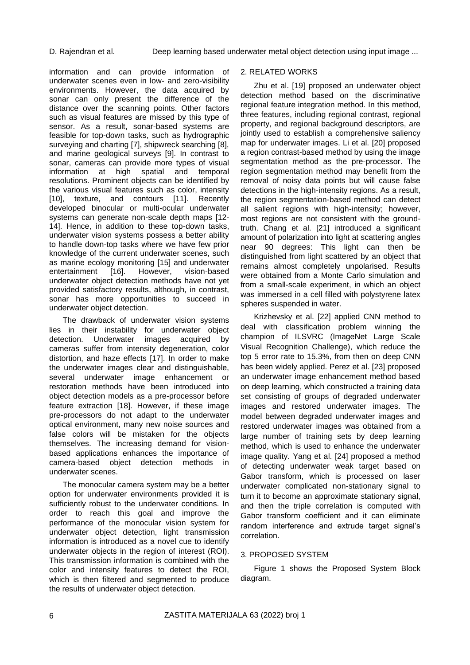information and can provide information of underwater scenes even in low- and zero-visibility environments. However, the data acquired by sonar can only present the difference of the distance over the scanning points. Other factors such as visual features are missed by this type of sensor. As a result, sonar-based systems are feasible for top-down tasks, such as hydrographic surveying and charting [7], shipwreck searching [8], and marine geological surveys [9]. In contrast to sonar, cameras can provide more types of visual information at high spatial and temporal resolutions. Prominent objects can be identified by the various visual features such as color, intensity [10], texture, and contours [11]. Recently developed binocular or multi-ocular underwater systems can generate non-scale depth maps [12- 14]. Hence, in addition to these top-down tasks, underwater vision systems possess a better ability to handle down-top tasks where we have few prior knowledge of the current underwater scenes, such as marine ecology monitoring [15] and underwater entertainment [16]. However, vision-based underwater object detection methods have not yet provided satisfactory results, although, in contrast, sonar has more opportunities to succeed in underwater object detection.

The drawback of underwater vision systems lies in their instability for underwater object detection. Underwater images acquired by cameras suffer from intensity degeneration, color distortion, and haze effects [17]. In order to make the underwater images clear and distinguishable, several underwater image enhancement or restoration methods have been introduced into object detection models as a pre-processor before feature extraction [18]. However, if these image pre-processors do not adapt to the underwater optical environment, many new noise sources and false colors will be mistaken for the objects themselves. The increasing demand for visionbased applications enhances the importance of camera-based object detection methods in underwater scenes.

The monocular camera system may be a better option for underwater environments provided it is sufficiently robust to the underwater conditions. In order to reach this goal and improve the performance of the monocular vision system for underwater object detection, light transmission information is introduced as a novel cue to identify underwater objects in the region of interest (ROI). This transmission information is combined with the color and intensity features to detect the ROI, which is then filtered and segmented to produce the results of underwater object detection.

# 2. RELATED WORKS

Zhu et al. [19] proposed an underwater object detection method based on the discriminative regional feature integration method. In this method, three features, including regional contrast, regional property, and regional background descriptors, are jointly used to establish a comprehensive saliency map for underwater images. Li et al. [20] proposed a region contrast-based method by using the image segmentation method as the pre-processor. The region segmentation method may benefit from the removal of noisy data points but will cause false detections in the high-intensity regions. As a result, the region segmentation-based method can detect all salient regions with high-intensity; however, most regions are not consistent with the groundtruth. Chang et al. [21] introduced a significant amount of polarization into light at scattering angles near 90 degrees: This light can then be distinguished from light scattered by an object that remains almost completely unpolarised. Results were obtained from a Monte Carlo simulation and from a small-scale experiment, in which an object was immersed in a cell filled with polystyrene latex spheres suspended in water.

Krizhevsky et al. [22] applied CNN method to deal with classification problem winning the champion of ILSVRC (ImageNet Large Scale Visual Recognition Challenge), which reduce the top 5 error rate to 15.3%, from then on deep CNN has been widely applied. Perez et al. [23] proposed an underwater image enhancement method based on deep learning, which constructed a training data set consisting of groups of degraded underwater images and restored underwater images. The model between degraded underwater images and restored underwater images was obtained from a large number of training sets by deep learning method, which is used to enhance the underwater image quality. Yang et al. [24] proposed a method of detecting underwater weak target based on Gabor transform, which is processed on laser underwater complicated non-stationary signal to turn it to become an approximate stationary signal, and then the triple correlation is computed with Gabor transform coefficient and it can eliminate random interference and extrude target signal's correlation.

# 3. PROPOSED SYSTEM

Figure 1 shows the Proposed System Block diagram.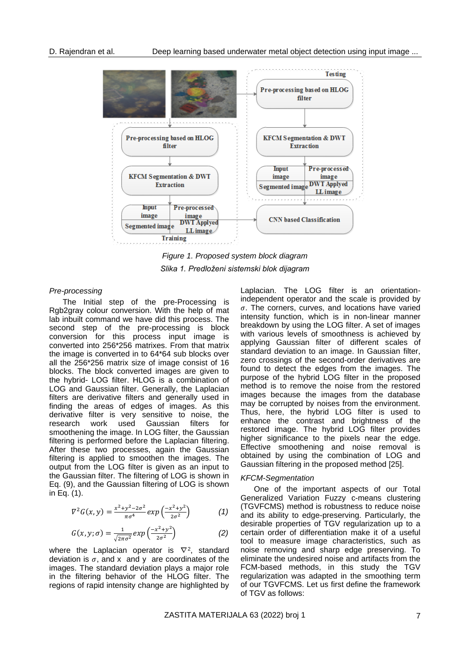

*Figure 1. Proposed system block diagram Slika 1. Predloženi sistemski blok dijagram*

# *Pre-processing*

The Initial step of the pre-Processing is Rgb2gray colour conversion. With the help of mat lab inbuilt command we have did this process. The second step of the pre-processing is block conversion for this process input image is converted into 256\*256 matrixes. From that matrix the image is converted in to 64\*64 sub blocks over all the 256\*256 matrix size of image consist of 16 blocks. The block converted images are given to the hybrid- LOG filter. HLOG is a combination of LOG and Gaussian filter. Generally, the Laplacian filters are derivative filters and generally used in finding the areas of edges of images. As this derivative filter is very sensitive to noise, the research work used Gaussian filters for smoothening the image. In LOG filter, the Gaussian filtering is performed before the Laplacian filtering. After these two processes, again the Gaussian filtering is applied to smoothen the images. The output from the LOG filter is given as an input to the Gaussian filter. The filtering of LOG is shown in Eq. (9), and the Gaussian filtering of LOG is shown in Eq. (1).

$$
\nabla^2 G(x, y) = \frac{x^2 + y^2 - 2\sigma^2}{\pi \sigma^4} \exp\left(\frac{-x^2 + y^2}{2\sigma^2}\right) \tag{1}
$$

$$
G(x, y; \sigma) = \frac{1}{\sqrt{2\pi\sigma^2}} exp\left(\frac{-x^2 + y^2}{2\sigma^2}\right)
$$
 (2)

where the Laplacian operator is  $\nabla^2$ , standard deviation is  $\sigma$ , and x and y are coordinates of the images. The standard deviation plays a major role in the filtering behavior of the HLOG filter. The regions of rapid intensity change are highlighted by

Laplacian. The LOG filter is an orientationindependent operator and the scale is provided by  $\sigma$ . The corners, curves, and locations have varied intensity function, which is in non-linear manner breakdown by using the LOG filter. A set of images with various levels of smoothness is achieved by applying Gaussian filter of different scales of standard deviation to an image. In Gaussian filter, zero crossings of the second-order derivatives are found to detect the edges from the images. The purpose of the hybrid LOG filter in the proposed method is to remove the noise from the restored images because the images from the database may be corrupted by noises from the environment. Thus, here, the hybrid LOG filter is used to enhance the contrast and brightness of the restored image. The hybrid LOG filter provides higher significance to the pixels near the edge. Effective smoothening and noise removal is obtained by using the combination of LOG and Gaussian filtering in the proposed method [25].

## *KFCM-Segmentation*

One of the important aspects of our Total Generalized Variation Fuzzy c-means clustering (TGVFCMS) method is robustness to reduce noise and its ability to edge-preserving. Particularly, the desirable properties of TGV regularization up to a certain order of differentiation make it of a useful tool to measure image characteristics, such as noise removing and sharp edge preserving. To eliminate the undesired noise and artifacts from the FCM-based methods, in this study the TGV regularization was adapted in the smoothing term of our TGVFCMS. Let us first define the framework of TGV as follows: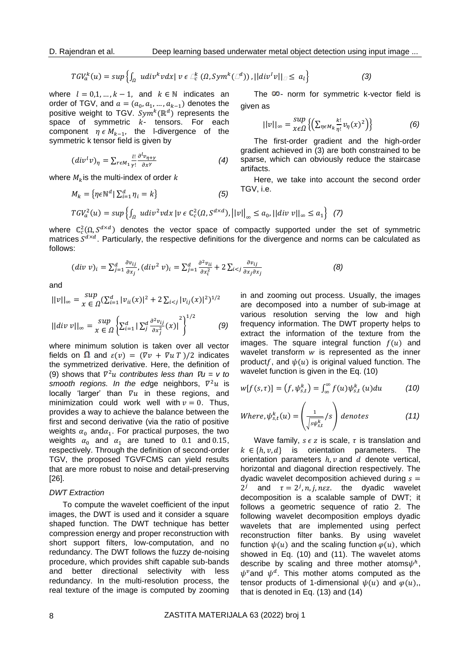$$
TGV_a^k(u) = \sup \left\{ \int_{\Omega} u \, \text{div}^k v \, \text{div} \, v \in \bigcup_{c}^k \left( \Omega, \text{Sym}^k(\bigcup_{c}^d) \right), ||\, \text{div}^l v||_{\square} \leq a_l \right\} \tag{3}
$$

where  $l = 0, 1, ..., k - 1$ , and  $k \in \mathbb{N}$  indicates an order of TGV, and  $a = (a_0, a_1, ..., a_{k-1})$  denotes the positive weight to TGV.  $\mathit{Sym}^k(\mathbb{R}^d)$  represents the space of symmetric  $k$ - tensors. For each component  $\eta \in M_{k-1}$ , the l-divergence of the symmetric k tensor field is given by

$$
(divl v)_{\eta} = \sum_{r \in M_1} \frac{l!}{\gamma!} \frac{\partial^{l} v_{\eta + \gamma}}{\partial x^{\gamma}}
$$
(4)

where  $M_k$  is the multi-index of order k

$$
M_k = \{ \eta \in \mathbb{N}^d \mid \sum_{i=1}^d \eta_i = k \}
$$
 (5)

The  $\infty$ - norm for symmetric k-vector field is given as

$$
||v||_{\infty} = \sup_{\chi \in \Omega} \left\{ \left( \sum_{\eta \in M_k} \frac{k!}{\eta!} v_{\eta}(\chi)^2 \right) \right\} \tag{6}
$$

The first-order gradient and the high-order gradient achieved in (3) are both constrained to be sparse, which can obviously reduce the staircase artifacts.

Here, we take into account the second order TGV, i.e.

$$
TGV_a^2(u) = \sup \left\{ \int_{\Omega} u \, div^2 v \, dx \left| v \in \mathbb{C}^2_c(\Omega, S^{d \times d}), ||v||_{\infty} \le a_0, ||div \, v||_{\infty} \le a_1 \right\} \right\}
$$
 (7)

where  $\mathbb{C}^2_c(\Omega, S^{d \times d})$  denotes the vector space of compactly supported under the set of symmetric matrices  $S^{d \times d}$ . Particularly, the respective definitions for the divergence and norms can be calculated as follows:

$$
(div \; v)_i = \sum_{j=1}^d \frac{\partial v_{ij}}{\partial x_j}, (div^2 \; v)_i = \sum_{j=1}^d \frac{\partial^2 v_{ii}}{\partial x_i^2} + 2 \sum_{i < j} \frac{\partial v_{ij}}{\partial x_j \partial x_j} \tag{8}
$$

and

$$
||v||_{\infty} = \sup_{x \in \Omega} \left( \sum_{i=1}^{d} |v_{ii}(x)|^2 + 2 \sum_{i < j} |v_{ij}(x)|^2 \right)^{1/2}
$$
\n
$$
||div \, v||_{\infty} = \sup_{x \in \Omega} \left\{ \sum_{i=1}^{d} \left| \sum_{j}^{d} \frac{\partial^2 v_{ij}}{\partial x_j^2} (x) \right|^2 \right\}^{1/2} \tag{9}
$$

where minimum solution is taken over all vector fields on  $\Omega$  and  $\varepsilon(v) = (\nabla v + \nabla u)$  /2 indicates the symmetrized derivative. Here, the definition of (9) shows that  $\nabla^2 u$  contributes less than  $\nabla u = v$  to smooth regions. In the edge neighbors,  $\nabla^2 u$  is locally 'larger' than  $\nabla u$  in these regions, and minimization could work well with  $v = 0$ . Thus, provides a way to achieve the balance between the first and second derivative (via the ratio of positive weights  $\alpha_0$  and $\alpha_1$ . For practical purposes, the two weights  $\alpha_0$  and  $\alpha_1$  are tuned to 0.1 and 0.15, respectively. Through the definition of second-order TGV, the proposed TGVFCMS can yield results that are more robust to noise and detail-preserving [26].

# *DWT Extraction*

To compute the wavelet coefficient of the input images, the DWT is used and it consider a square shaped function. The DWT technique has better compression energy and proper reconstruction with short support filters, low-computation, and no redundancy. The DWT follows the fuzzy de-noising procedure, which provides shift capable sub-bands and better directional selectivity with less redundancy. In the multi-resolution process, the real texture of the image is computed by zooming in and zooming out process. Usually, the images are decomposed into a number of sub-image at various resolution serving the low and high frequency information. The DWT property helps to extract the information of the texture from the images. The square integral function  $f(u)$  and wavelet transform  $w$  is represented as the inner productf, and  $\psi(u)$  is original valued function. The wavelet function is given in the Eq. (10)

$$
w[f(s,\tau)] = (f,\psi_{s,t}^k) = \int_{\infty}^{\infty} f(u)\psi_{s,t}^k(u)du \qquad (10)
$$

Where, 
$$
\psi_{s,t}^{k}(u) = \left(\frac{1}{\sqrt{s\psi_{s,t}^{k}}}/s\right)
$$
 denotes (11)

Wave family,  $s \in \mathbb{Z}$  is scale,  $\tau$  is translation and  $k \in \{h, v, d\}$  is orientation parameters. The orientation parameters  $h, v$  and  $d$  denote vertical, horizontal and diagonal direction respectively. The dyadic wavelet decomposition achieved during  $s =$ 2<sup>*j*</sup> and  $\tau = 2^j$ , *n*, *j*, *n*  $\epsilon$ *z*. the dyadic wavelet decomposition is a scalable sample of DWT; it follows a geometric sequence of ratio 2. The following wavelet decomposition employs dyadic wavelets that are implemented using perfect reconstruction filter banks. By using wavelet function  $\psi(u)$  and the scaling function  $\varphi(u)$ , which showed in Eq. (10) and (11). The wavelet atoms describe by scaling and three mother atoms $\psi^h$ ,  $\psi^v$  and  $\psi^d$ . This mother atoms computed as the tensor products of 1-dimensional  $\psi(u)$  and  $\varphi(u)$ ,, that is denoted in Eq. (13) and (14)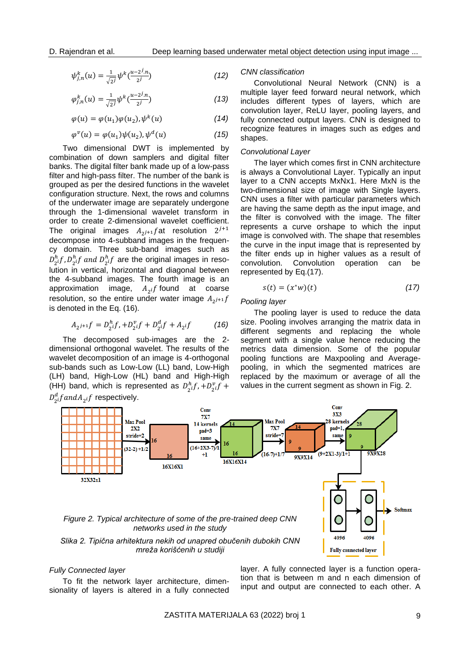$$
\psi_{j,n}^k(u) = \frac{1}{\sqrt{2^j}} \psi^k(\frac{u-2^j \cdot n}{2^j})
$$
\n(12)

$$
\varphi_{j,n}^k(u) = \frac{1}{\sqrt{2^j}} \psi^k(\frac{u-2^j \cdot n}{2^j})
$$
\n(13)

$$
\varphi(u) = \varphi(u_1)\varphi(u_2), \psi^k(u) \tag{14}
$$

$$
\varphi^{\nu}(u) = \varphi(u_1)\psi(u_2), \psi^d(u) \tag{15}
$$

Two dimensional DWT is implemented by combination of down samplers and digital filter banks. The digital filter bank made up of a low-pass filter and high-pass filter. The number of the bank is grouped as per the desired functions in the wavelet configuration structure. Next, the rows and columns of the underwater image are separately undergone through the 1-dimensional wavelet transform in order to create 2-dimensional wavelet coefficient. The original images  $A_{2^{j+1}}$ fat resolution  $2^{j+1}$ decompose into 4-subband images in the frequency domain. Three sub-band images such as  $D_{2}^{h}$ f,  $D_{2}^{h}$ f and  $D_{2}^{h}$ f are the original images in resolution in vertical, horizontal and diagonal between the 4-subband images. The fourth image is an approximation image,  $A_{2}$  found at coarse resolution, so the entire under water image  $A_{2^{j+1}}f$ is denoted in the Eq. (16).

$$
A_{2^{j+1}}f = D_{2^{i}}^{h}f + D_{2^{i}}^{v}f + D_{2^{i}}^{d}f + A_{2^{i}}f \tag{16}
$$

The decomposed sub-images are the 2 dimensional orthogonal wavelet. The results of the wavelet decomposition of an image is 4-orthogonal sub-bands such as Low-Low (LL) band, Low-High (LH) band, High-Low (HL) band and High-High (HH) band, which is represented as  $D_2^h f$ ,  $+ D_2^v f$  +  $D_2^d f and A_2$  if respectively.

#### *CNN classification*

Convolutional Neural Network (CNN) is a multiple layer feed forward neural network, which includes different types of layers, which are convolution layer, ReLU layer, pooling layers, and fully connected output layers. CNN is designed to recognize features in images such as edges and shapes.

# *Convolutional Layer*

The layer which comes first in CNN architecture is always a Convolutional Layer. Typically an input layer to a CNN accepts MxNx1. Here MxN is the two-dimensional size of image with Single layers. CNN uses a filter with particular parameters which are having the same depth as the input image, and the filter is convolved with the image. The filter represents a curve orshape to which the input image is convolved with. The shape that resembles the curve in the input image that is represented by the filter ends up in higher values as a result of convolution. Convolution operation can be represented by Eq.(17).

$$
s(t) = (x^*w)(t) \tag{17}
$$

# *Pooling layer*

The pooling layer is used to reduce the data size. Pooling involves arranging the matrix data in different segments and replacing the whole segment with a single value hence reducing the metrics data dimension. Some of the popular pooling functions are Maxpooling and Averagepooling, in which the segmented matrices are replaced by the maximum or average of all the values in the current segment as shown in Fig. 2.



### *Fully Connected layer*

To fit the network layer architecture, dimensionality of layers is altered in a fully connected layer. A fully connected layer is a function operation that is between m and n each dimension of input and output are connected to each other. A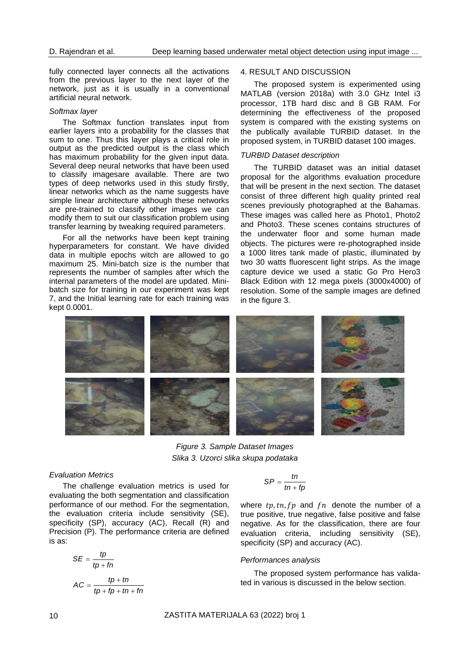fully connected layer connects all the activations from the previous layer to the next layer of the network, just as it is usually in a conventional artificial neural network.

### *Softmax layer*

The Softmax function translates input from earlier layers into a probability for the classes that sum to one. Thus this layer plays a critical role in output as the predicted output is the class which has maximum probability for the given input data. Several deep neural networks that have been used to classify imagesare available. There are two types of deep networks used in this study firstly, linear networks which as the name suggests have simple linear architecture although these networks are pre-trained to classify other images we can modify them to suit our classification problem using transfer learning by tweaking required parameters.

For all the networks have been kept training hyperparameters for constant. We have divided data in multiple epochs witch are allowed to go maximum 25. Mini-batch size is the number that represents the number of samples after which the internal parameters of the model are updated. Minibatch size for training in our experiment was kept 7, and the Initial learning rate for each training was kept 0.0001.

## 4. RESULT AND DISCUSSION

The proposed system is experimented using MATLAB (version 2018a) with 3.0 GHz Intel i3 processor, 1TB hard disc and 8 GB RAM. For determining the effectiveness of the proposed system is compared with the existing systems on the publically available TURBID dataset. In the proposed system, in TURBID dataset 100 images.

# *TURBID Dataset description*

The TURBID dataset was an initial dataset proposal for the algorithms evaluation procedure that will be present in the next section. The dataset consist of three different high quality printed real scenes previously photographed at the Bahamas. These images was called here as Photo1, Photo2 and Photo3. These scenes contains structures of the underwater floor and some human made objects. The pictures were re-photographed inside a 1000 litres tank made of plastic, illuminated by two 30 watts fluorescent light strips. As the image capture device we used a static Go Pro Hero3 Black Edition with 12 mega pixels (3000x4000) of resolution. Some of the sample images are defined in the figure 3.



*Figure 3. Sample Dataset Images Slika 3. Uzorci slika skupa podataka*

#### *Evaluation Metrics*

The challenge evaluation metrics is used for evaluating the both segmentation and classification performance of our method. For the segmentation, the evaluation criteria include sensitivity (SE), specificity (SP), accuracy (AC), Recall (R) and Precision (P). The performance criteria are defined is as:

$$
SE = \frac{tp}{tp + fn}
$$

$$
AC = \frac{tp + tn}{tp + fp + tn + fn}
$$

$$
SP = \frac{tn}{tn + fp}
$$

where  $tp, tn, fp$  and  $fn$  denote the number of a true positive, true negative, false positive and false negative. As for the classification, there are four evaluation criteria, including sensitivity (SE), specificity (SP) and accuracy (AC).

# *Performances analysis*

The proposed system performance has validated in various is discussed in the below section.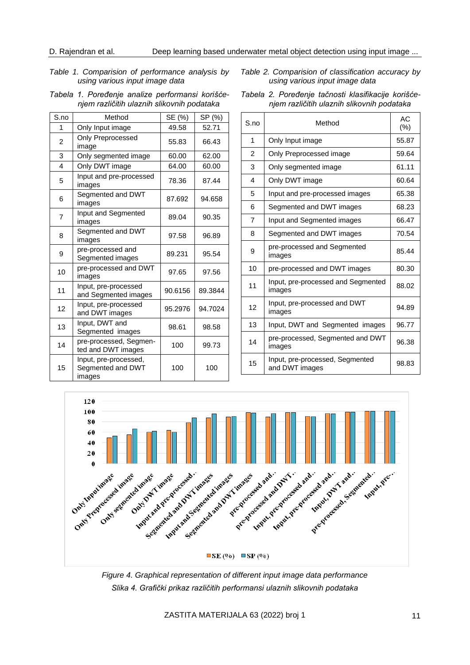# *Table 1. Comparision of performance analysis by using various input image data*

|                                            | Tabela 1. Poređenje analize performansi korišće- |  |  |  |
|--------------------------------------------|--------------------------------------------------|--|--|--|
| njem različitih ulaznih slikovnih podataka |                                                  |  |  |  |

| S.no           | Method                                               | SE (%)  | SP (%)  |
|----------------|------------------------------------------------------|---------|---------|
| 1              | Only Input image                                     | 49.58   | 52.71   |
| $\overline{2}$ | <b>Only Preprocessed</b><br>image                    | 55.83   | 66.43   |
| 3              | Only segmented image                                 | 60.00   | 62.00   |
| 4              | Only DWT image                                       | 64.00   | 60.00   |
| 5              | Input and pre-processed<br>images                    | 78.36   | 87.44   |
| 6              | Segmented and DWT<br>images                          | 87.692  | 94.658  |
| 7              | Input and Segmented<br>images                        | 89.04   | 90.35   |
| 8              | Segmented and DWT<br>images                          | 97.58   | 96.89   |
| 9              | pre-processed and<br>Segmented images                | 89.231  | 95.54   |
| 10             | pre-processed and DWT<br>images                      | 97.65   | 97.56   |
| 11             | Input, pre-processed<br>and Segmented images         | 90.6156 | 89.3844 |
| 12             | Input, pre-processed<br>and DWT images               | 95.2976 | 94.7024 |
| 13             | Input, DWT and<br>Segmented images                   | 98.61   | 98.58   |
| 14             | pre-processed, Segmen-<br>ted and DWT images         | 100     | 99.73   |
| 15             | Input, pre-processed,<br>Segmented and DWT<br>images | 100     | 100     |

*Table 2. Comparision of classification accuracy by using various input image data*

| S <sub>n</sub>         | Method                                            | АC<br>$(\% )$ |
|------------------------|---------------------------------------------------|---------------|
| 1                      | Only Input image                                  | 55.87         |
| 2                      | Only Preprocessed image                           | 59.64         |
| 3                      | Only segmented image                              | 61.11         |
| $\boldsymbol{\Lambda}$ | Only DWT image                                    | 60.64         |
| 5                      | Input and pre-processed images                    | 65.38         |
| 6                      | Segmented and DWT images                          | 68.23         |
| $\overline{7}$         | Input and Segmented images                        | 66.47         |
| 8                      | Segmented and DWT images                          | 70.54         |
| 9                      | pre-processed and Segmented<br>images             | 85.44         |
| 10                     | pre-processed and DWT images                      | 80.30         |
| 11                     | Input, pre-processed and Segmented<br>images      | 88.02         |
| 12                     | Input, pre-processed and DWT<br>images            | 94.89         |
| 13                     | Input, DWT and Segmented images                   | 96.77         |
| 14                     | pre-processed, Segmented and DWT<br>images        | 96.38         |
| 15                     | Input, pre-processed, Segmented<br>and DWT images | 98.83         |

*Tabela 2. Poređenje tačnosti klasifikacije korišćenjem različitih ulaznih slikovnih podataka*



*Figure 4. Graphical representation of different input image data performance Slika 4. Grafički prikaz različitih performansi ulaznih slikovnih podataka*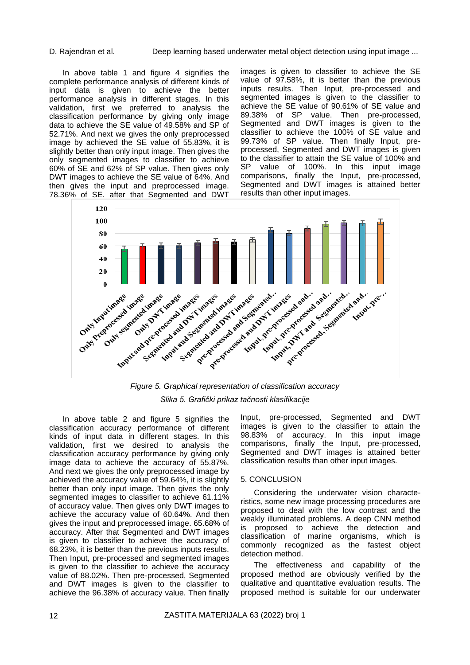In above table 1 and figure 4 signifies the complete performance analysis of different kinds of input data is given to achieve the better performance analysis in different stages. In this validation, first we preferred to analysis the classification performance by giving only image data to achieve the SE value of 49.58% and SP of 52.71%. And next we gives the only preprocessed image by achieved the SE value of 55.83%, it is slightly better than only input image. Then gives the only segmented images to classifier to achieve 60% of SE and 62% of SP value. Then gives only DWT images to achieve the SE value of 64%. And then gives the input and preprocessed image. 78.36% of SE. after that Segmented and DWT

images is given to classifier to achieve the SE value of 97.58%, it is better than the previous inputs results. Then Input, pre-processed and segmented images is given to the classifier to achieve the SE value of 90.61% of SE value and 89.38% of SP value. Then pre-processed, Segmented and DWT images is given to the classifier to achieve the 100% of SE value and 99.73% of SP value. Then finally Input, preprocessed, Segmented and DWT images is given to the classifier to attain the SE value of 100% and SP value of 100%. In this input image comparisons, finally the Input, pre-processed, Segmented and DWT images is attained better results than other input images.



*Figure 5. Graphical representation of classification accuracy Slika 5. Grafički prikaz tačnosti klasifikacije*

In above table 2 and figure 5 signifies the classification accuracy performance of different kinds of input data in different stages. In this validation, first we desired to analysis the classification accuracy performance by giving only image data to achieve the accuracy of 55.87%. And next we gives the only preprocessed image by achieved the accuracy value of 59.64%, it is slightly better than only input image. Then gives the only segmented images to classifier to achieve 61.11% of accuracy value. Then gives only DWT images to achieve the accuracy value of 60.64%. And then gives the input and preprocessed image. 65.68% of accuracy. After that Segmented and DWT images is given to classifier to achieve the accuracy of 68.23%, it is better than the previous inputs results. Then Input, pre-processed and segmented images is given to the classifier to achieve the accuracy value of 88.02%. Then pre-processed, Segmented and DWT images is given to the classifier to achieve the 96.38% of accuracy value. Then finally

Input, pre-processed, Segmented and DWT images is given to the classifier to attain the 98.83% of accuracy. In this input image comparisons, finally the Input, pre-processed, Segmented and DWT images is attained better classification results than other input images.

# 5. CONCLUSION

Considering the underwater vision characteristics, some new image processing procedures are proposed to deal with the low contrast and the weakly illuminated problems. A deep CNN method is proposed to achieve the detection and classification of marine organisms, which is commonly recognized as the fastest object detection method.

The effectiveness and capability of the proposed method are obviously verified by the qualitative and quantitative evaluation results. The proposed method is suitable for our underwater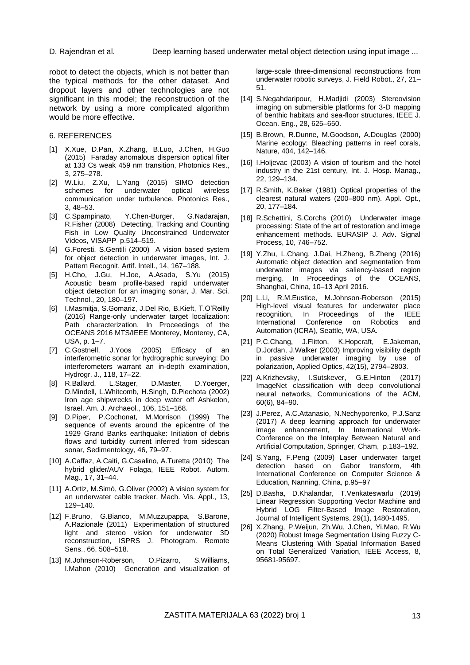robot to detect the objects, which is not better than the typical methods for the other dataset. And dropout layers and other technologies are not significant in this model; the reconstruction of the network by using a more complicated algorithm would be more effective.

# 6. REFERENCES

- [1] X.Xue, D.Pan, X.Zhang, B.Luo, J.Chen, H.Guo (2015) Faraday anomalous dispersion optical filter at 133 Cs weak 459 nm transition, Photonics Res., 3, 275–278.
- [2] W.Liu, Z.Xu, L.Yang (2015) SIMO detection schemes for underwater optical wireless communication under turbulence. Photonics Res., 3, 48–53.
- [3] C.Spampinato, Y.Chen-Burger, G.Nadarajan, R.Fisher (2008) Detecting, Tracking and Counting Fish in Low Quality Unconstrained Underwater Videos, VISAPP p.514–519.
- [4] G.Foresti, S.Gentili (2000) A vision based system for object detection in underwater images, Int. J. Pattern Recognit. Artif. Intell., 14, 167–188.
- [5] H.Cho, J.Gu, H.Joe, A.Asada, S.Yu (2015) Acoustic beam profile-based rapid underwater object detection for an imaging sonar, J. Mar. Sci. Technol., 20, 180–197.
- [6] I.Masmitja, S.Gomariz, J.Del Rio, B.Kieft, T.O'Reilly (2016) Range-only underwater target localization: Path characterization, In Proceedings of the OCEANS 2016 MTS/IEEE Monterey, Monterey, CA, USA, p. 1–7.
- [7] C.Gostnell, J.Yoos (2005) Efficacy of an interferometric sonar for hydrographic surveying: Do interferometers warrant an in-depth examination, Hydrogr. J., 118, 17–22.
- [8] R.Ballard, L.Stager, D.Master, D.Yoerger, D.Mindell, L.Whitcomb, H.Singh, D.Piechota (2002) Iron age shipwrecks in deep water off Ashkelon, Israel. Am. J. Archaeol., 106, 151–168.
- [9] D.Piper, P.Cochonat, M.Morrison (1999) The sequence of events around the epicentre of the 1929 Grand Banks earthquake: Initiation of debris flows and turbidity current inferred from sidescan sonar, Sedimentology, 46, 79–97.
- [10] A.Caffaz, A.Caiti, G.Casalino, A.Turetta (2010) The hybrid glider/AUV Folaga, IEEE Robot. Autom. Mag., 17, 31–44.
- [11] A.Ortiz, M.Simó, G.Oliver (2002) A vision system for an underwater cable tracker. Mach. Vis. Appl., 13, 129–140.
- [12] F.Bruno, G.Bianco, M.Muzzupappa, S.Barone, A.Razionale (2011) Experimentation of structured light and stereo vision for underwater 3D reconstruction, ISPRS J. Photogram. Remote Sens., 66, 508–518.
- [13] M.Johnson-Roberson, O.Pizarro, S.Williams, I.Mahon (2010) Generation and visualization of

large-scale three-dimensional reconstructions from underwater robotic surveys, J. Field Robot., 27, 21– 51.

- [14] S.Negahdaripour, H.Madjidi (2003) Stereovision imaging on submersible platforms for 3-D mapping of benthic habitats and sea-floor structures, IEEE J. Ocean. Eng., 28, 625–650.
- [15] B.Brown, R.Dunne, M.Goodson, A.Douglas (2000) Marine ecology: Bleaching patterns in reef corals, Nature, 404, 142–146.
- [16] I.Holjevac (2003) A vision of tourism and the hotel industry in the 21st century, Int. J. Hosp. Manag., 22, 129–134.
- [17] R.Smith, K.Baker (1981) Optical properties of the clearest natural waters (200–800 nm). Appl. Opt., 20, 177–184.
- [18] R.Schettini, S.Corchs (2010) Underwater image processing: State of the art of restoration and image enhancement methods. EURASIP J. Adv. Signal Process, 10, 746–752.
- [19] Y.Zhu, L.Chang, J.Dai, H.Zheng, B.Zheng (2016) Automatic object detection and segmentation from underwater images via saliency-based region merging, In Proceedings of the OCEANS, Shanghai, China, 10–13 April 2016.
- [20] L.Li, R.M.Eustice, M.Johnson-Roberson (2015) High-level visual features for underwater place recognition, In Proceedings of the IEEE International Conference on Robotics and Automation (ICRA), Seattle, WA, USA.
- [21] P.C.Chang, J.Flitton, K.Hopcraft, E.Jakeman, D.Jordan, J.Walker (2003) Improving visibility depth in passive underwater imaging by use of polarization, Applied Optics, 42(15), 2794–2803.
- [22] A.Krizhevsky, I.Sutskever, G.E.Hinton (2017) ImageNet classification with deep convolutional neural networks, Communications of the ACM, 60(6), 84–90.
- [23] J.Perez, A.C.Attanasio, N.Nechyporenko, P.J.Sanz (2017) A deep learning approach for underwater image enhancement, In International Work-Conference on the Interplay Between Natural and Artificial Computation, Springer, Cham, p.183–192.
- [24] S.Yang, F.Peng (2009) Laser underwater target detection based on Gabor transform, 4th International Conference on Computer Science & Education, Nanning, China, p.95–97
- [25] D.Basha, D.Khalandar, T.Venkateswarlu (2019) Linear Regression Supporting Vector Machine and Hybrid LOG Filter-Based Image Restoration, Journal of Intelligent Systems, 29(1), 1480-1495.
- [26] X.Zhang, P.Weijun, Zh.Wu, J.Chen, Yi.Mao, R.Wu (2020) Robust Image Segmentation Using Fuzzy C-Means Clustering With Spatial Information Based on Total Generalized Variation, IEEE Access, 8, 95681-95697.